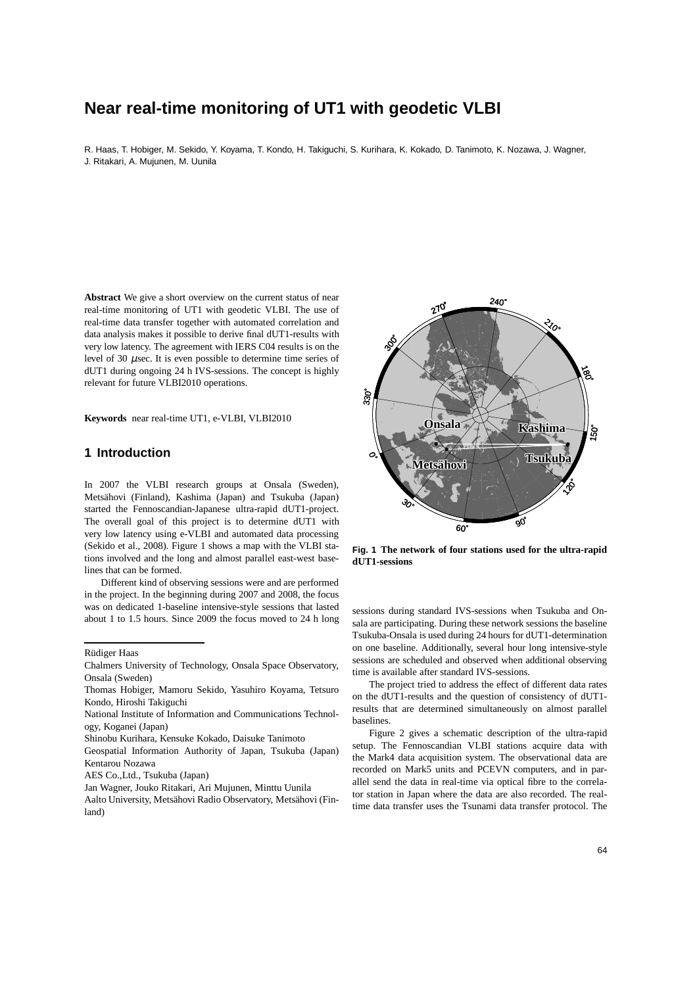# **Near real-time monitoring of UT1 with geodetic VLBI**

R. Haas, T. Hobiger, M. Sekido, Y. Koyama, T. Kondo, H. Takiguchi, S. Kurihara, K. Kokado, D. Tanimoto, K. Nozawa, J. Wagner, J. Ritakari, A. Mujunen, M. Uunila

**Abstract** We give a short overview on the current status of near real-time monitoring of UT1 with geodetic VLBI. The use of real-time data transfer together with automated correlation and data analysis makes it possible to derive final dUT1-results with very low latency. The agreement with IERS C04 results is on the level of 30 µsec. It is even possible to determine time series of dUT1 during ongoing 24 h IVS-sessions. The concept is highly relevant for future VLBI2010 operations.

**Keywords** near real-time UT1, e-VLBI, VLBI2010

### **1 Introduction**

In 2007 the VLBI research groups at Onsala (Sweden), Metsähovi (Finland), Kashima (Japan) and Tsukuba (Japan) started the Fennoscandian-Japanese ultra-rapid dUT1-project. The overall goal of this project is to determine dUT1 with very low latency using e-VLBI and automated data processing (Sekido et al., 2008). Figure 1 shows a map with the VLBI stations involved and the long and almost parallel east-west baselines that can be formed.

Different kind of observing sessions were and are performed in the project. In the beginning during 2007 and 2008, the focus was on dedicated 1-baseline intensive-style sessions that lasted about 1 to 1.5 hours. Since 2009 the focus moved to 24 h long

Rüdiger Haas



**Fig. 1 The network of four stations used for the ultra-rapid dUT1-sessions**

sessions during standard IVS-sessions when Tsukuba and Onsala are participating. During these network sessions the baseline Tsukuba-Onsala is used during 24 hours for dUT1-determination on one baseline. Additionally, several hour long intensive-style sessions are scheduled and observed when additional observing time is available after standard IVS-sessions.

The project tried to address the effect of different data rates on the dUT1-results and the question of consistency of dUT1 results that are determined simultaneously on almost parallel baselines.

Figure 2 gives a schematic description of the ultra-rapid setup. The Fennoscandian VLBI stations acquire data with the Mark4 data acquisition system. The observational data are recorded on Mark5 units and PCEVN computers, and in parallel send the data in real-time via optical fibre to the correlator station in Japan where the data are also recorded. The realtime data transfer uses the Tsunami data transfer protocol. The

Chalmers University of Technology, Onsala Space Observatory, Onsala (Sweden)

Thomas Hobiger, Mamoru Sekido, Yasuhiro Koyama, Tetsuro Kondo, Hiroshi Takiguchi

National Institute of Information and Communications Technology, Koganei (Japan)

Shinobu Kurihara, Kensuke Kokado, Daisuke Tanimoto

Geospatial Information Authority of Japan, Tsukuba (Japan) Kentarou Nozawa

AES Co.,Ltd., Tsukuba (Japan)

Jan Wagner, Jouko Ritakari, Ari Mujunen, Minttu Uunila

Aalto University, Metsähovi Radio Observatory, Metsähovi (Finland)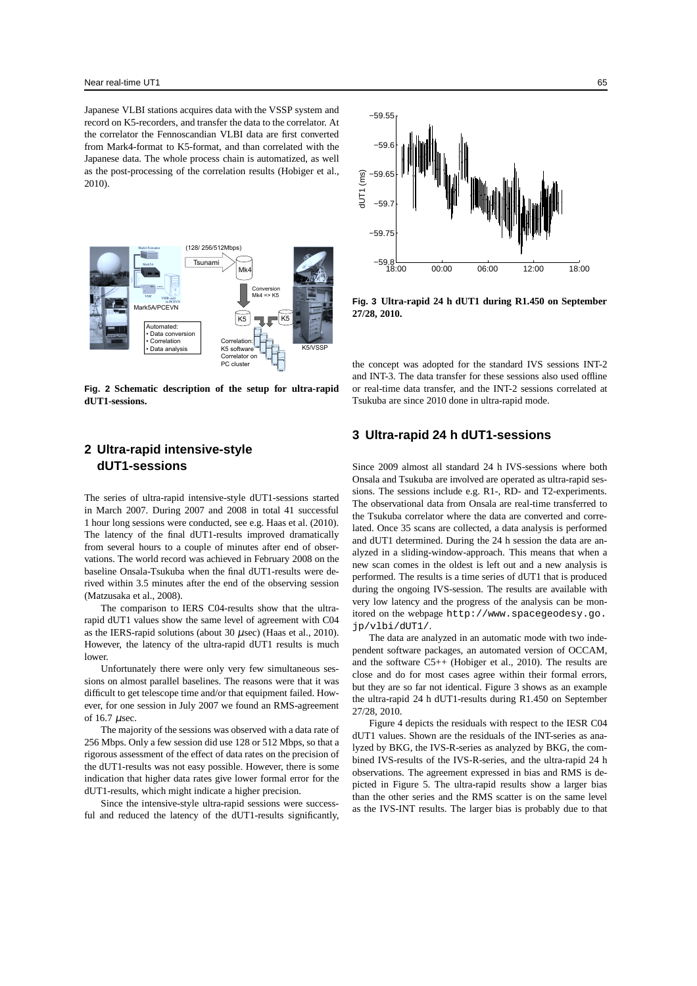Japanese VLBI stations acquires data with the VSSP system and record on K5-recorders, and transfer the data to the correlator. At the correlator the Fennoscandian VLBI data are first converted from Mark4-format to K5-format, and than correlated with the Japanese data. The whole process chain is automatized, as well as the post-processing of the correlation results (Hobiger et al., 2010).



**Fig. 2 Schematic description of the setup for ultra-rapid dUT1-sessions.**



**Fig. 3 Ultra-rapid 24 h dUT1 during R1.450 on September 27/28, 2010.**

the concept was adopted for the standard IVS sessions INT-2 and INT-3. The data transfer for these sessions also used offline or real-time data transfer, and the INT-2 sessions correlated at Tsukuba are since 2010 done in ultra-rapid mode.

## **2 Ultra-rapid intensive-style dUT1-sessions**

The series of ultra-rapid intensive-style dUT1-sessions started in March 2007. During 2007 and 2008 in total 41 successful 1 hour long sessions were conducted, see e.g. Haas et al. (2010). The latency of the final dUT1-results improved dramatically from several hours to a couple of minutes after end of observations. The world record was achieved in February 2008 on the baseline Onsala-Tsukuba when the final dUT1-results were derived within 3.5 minutes after the end of the observing session (Matzusaka et al., 2008).

The comparison to IERS C04-results show that the ultrarapid dUT1 values show the same level of agreement with C04 as the IERS-rapid solutions (about 30  $\mu$ sec) (Haas et al., 2010). However, the latency of the ultra-rapid dUT1 results is much lower.

Unfortunately there were only very few simultaneous sessions on almost parallel baselines. The reasons were that it was difficult to get telescope time and/or that equipment failed. However, for one session in July 2007 we found an RMS-agreement of 16.7 µsec.

The majority of the sessions was observed with a data rate of 256 Mbps. Only a few session did use 128 or 512 Mbps, so that a rigorous assessment of the effect of data rates on the precision of the dUT1-results was not easy possible. However, there is some indication that higher data rates give lower formal error for the dUT1-results, which might indicate a higher precision.

Since the intensive-style ultra-rapid sessions were successful and reduced the latency of the dUT1-results significantly,

# **3 Ultra-rapid 24 h dUT1-sessions**

Since 2009 almost all standard 24 h IVS-sessions where both Onsala and Tsukuba are involved are operated as ultra-rapid sessions. The sessions include e.g. R1-, RD- and T2-experiments. The observational data from Onsala are real-time transferred to the Tsukuba correlator where the data are converted and correlated. Once 35 scans are collected, a data analysis is performed and dUT1 determined. During the 24 h session the data are analyzed in a sliding-window-approach. This means that when a new scan comes in the oldest is left out and a new analysis is performed. The results is a time series of dUT1 that is produced during the ongoing IVS-session. The results are available with very low latency and the progress of the analysis can be monitored on the webpage http://www.spacegeodesy.go. jp/vlbi/dUT1/.

The data are analyzed in an automatic mode with two independent software packages, an automated version of OCCAM, and the software C5++ (Hobiger et al., 2010). The results are close and do for most cases agree within their formal errors, but they are so far not identical. Figure 3 shows as an example the ultra-rapid 24 h dUT1-results during R1.450 on September 27/28, 2010.

Figure 4 depicts the residuals with respect to the IESR C04 dUT1 values. Shown are the residuals of the INT-series as analyzed by BKG, the IVS-R-series as analyzed by BKG, the combined IVS-results of the IVS-R-series, and the ultra-rapid 24 h observations. The agreement expressed in bias and RMS is depicted in Figure 5. The ultra-rapid results show a larger bias than the other series and the RMS scatter is on the same level as the IVS-INT results. The larger bias is probably due to that